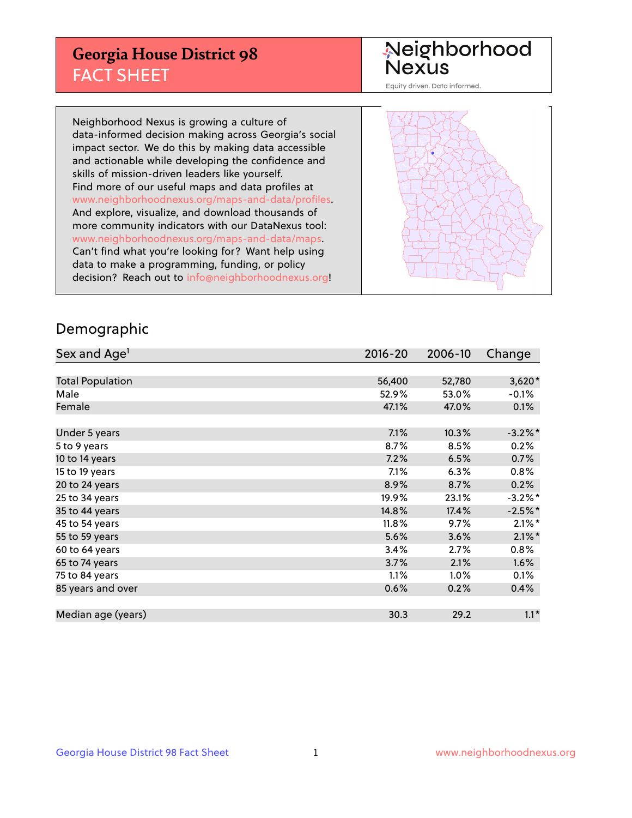## **Georgia House District 98** FACT SHEET

# Neighborhood<br>Nexus

Equity driven. Data informed.

Neighborhood Nexus is growing a culture of data-informed decision making across Georgia's social impact sector. We do this by making data accessible and actionable while developing the confidence and skills of mission-driven leaders like yourself. Find more of our useful maps and data profiles at www.neighborhoodnexus.org/maps-and-data/profiles. And explore, visualize, and download thousands of more community indicators with our DataNexus tool: www.neighborhoodnexus.org/maps-and-data/maps. Can't find what you're looking for? Want help using data to make a programming, funding, or policy decision? Reach out to [info@neighborhoodnexus.org!](mailto:info@neighborhoodnexus.org)



### Demographic

| Sex and Age <sup>1</sup> | $2016 - 20$ | 2006-10 | Change     |
|--------------------------|-------------|---------|------------|
|                          |             |         |            |
| <b>Total Population</b>  | 56,400      | 52,780  | $3,620*$   |
| Male                     | 52.9%       | 53.0%   | $-0.1\%$   |
| Female                   | 47.1%       | 47.0%   | 0.1%       |
|                          |             |         |            |
| Under 5 years            | 7.1%        | 10.3%   | $-3.2\%$ * |
| 5 to 9 years             | 8.7%        | 8.5%    | 0.2%       |
| 10 to 14 years           | 7.2%        | 6.5%    | 0.7%       |
| 15 to 19 years           | $7.1\%$     | 6.3%    | 0.8%       |
| 20 to 24 years           | 8.9%        | 8.7%    | 0.2%       |
| 25 to 34 years           | 19.9%       | 23.1%   | $-3.2\%$ * |
| 35 to 44 years           | 14.8%       | 17.4%   | $-2.5%$ *  |
| 45 to 54 years           | 11.8%       | 9.7%    | $2.1\%$ *  |
| 55 to 59 years           | 5.6%        | 3.6%    | $2.1\%$ *  |
| 60 to 64 years           | 3.4%        | 2.7%    | 0.8%       |
| 65 to 74 years           | 3.7%        | 2.1%    | 1.6%       |
| 75 to 84 years           | 1.1%        | $1.0\%$ | 0.1%       |
| 85 years and over        | 0.6%        | 0.2%    | 0.4%       |
|                          |             |         |            |
| Median age (years)       | 30.3        | 29.2    | $1.1*$     |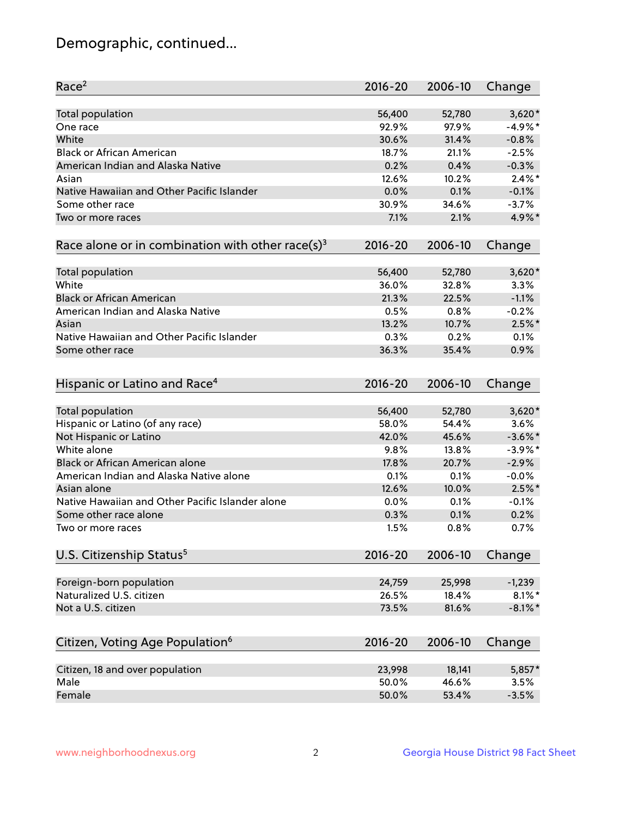## Demographic, continued...

| Race <sup>2</sup>                                            | $2016 - 20$ | 2006-10 | Change     |
|--------------------------------------------------------------|-------------|---------|------------|
| <b>Total population</b>                                      | 56,400      | 52,780  | $3,620*$   |
| One race                                                     | 92.9%       | 97.9%   | $-4.9%$ *  |
| White                                                        | 30.6%       | 31.4%   | $-0.8%$    |
| <b>Black or African American</b>                             | 18.7%       | 21.1%   | $-2.5%$    |
| American Indian and Alaska Native                            | 0.2%        | 0.4%    | $-0.3%$    |
| Asian                                                        | 12.6%       | 10.2%   | $2.4\%$ *  |
| Native Hawaiian and Other Pacific Islander                   | 0.0%        | 0.1%    | $-0.1%$    |
| Some other race                                              | 30.9%       | 34.6%   | $-3.7%$    |
| Two or more races                                            | 7.1%        | 2.1%    | 4.9%*      |
| Race alone or in combination with other race(s) <sup>3</sup> | $2016 - 20$ | 2006-10 | Change     |
| Total population                                             | 56,400      | 52,780  | $3,620*$   |
| White                                                        | 36.0%       | 32.8%   | 3.3%       |
| <b>Black or African American</b>                             | 21.3%       | 22.5%   | $-1.1%$    |
| American Indian and Alaska Native                            | 0.5%        | 0.8%    | $-0.2%$    |
| Asian                                                        | 13.2%       | 10.7%   | $2.5\%$ *  |
| Native Hawaiian and Other Pacific Islander                   | 0.3%        | 0.2%    | 0.1%       |
| Some other race                                              | 36.3%       | 35.4%   | 0.9%       |
| Hispanic or Latino and Race <sup>4</sup>                     | $2016 - 20$ | 2006-10 | Change     |
| <b>Total population</b>                                      | 56,400      | 52,780  | $3,620*$   |
| Hispanic or Latino (of any race)                             | 58.0%       | 54.4%   | 3.6%       |
| Not Hispanic or Latino                                       | 42.0%       | 45.6%   | $-3.6\%$ * |
| White alone                                                  | 9.8%        | 13.8%   | $-3.9\%$ * |
| <b>Black or African American alone</b>                       | 17.8%       | 20.7%   | $-2.9%$    |
| American Indian and Alaska Native alone                      | 0.1%        | 0.1%    | $-0.0%$    |
| Asian alone                                                  | 12.6%       | 10.0%   | $2.5%$ *   |
| Native Hawaiian and Other Pacific Islander alone             | 0.0%        | 0.1%    | $-0.1%$    |
| Some other race alone                                        | 0.3%        | 0.1%    | 0.2%       |
| Two or more races                                            | 1.5%        | 0.8%    | 0.7%       |
| U.S. Citizenship Status <sup>5</sup>                         | $2016 - 20$ | 2006-10 | Change     |
| Foreign-born population                                      | 24,759      | 25,998  | $-1,239$   |
| Naturalized U.S. citizen                                     | 26.5%       | 18.4%   | $8.1\%$ *  |
| Not a U.S. citizen                                           | 73.5%       | 81.6%   | $-8.1\%$ * |
|                                                              |             |         |            |
| Citizen, Voting Age Population <sup>6</sup>                  | $2016 - 20$ | 2006-10 | Change     |
| Citizen, 18 and over population                              | 23,998      | 18,141  | 5,857*     |
| Male                                                         | 50.0%       | 46.6%   | 3.5%       |
| Female                                                       | 50.0%       | 53.4%   | $-3.5%$    |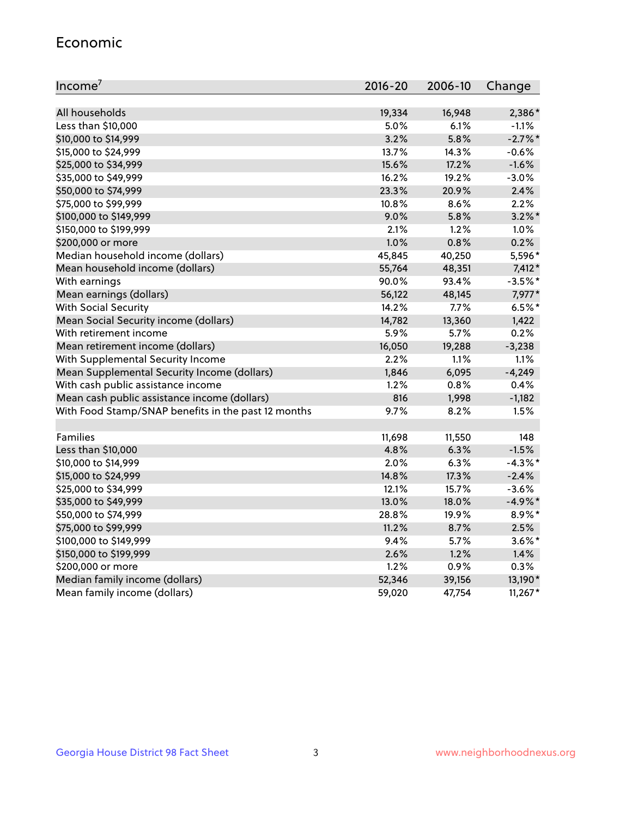#### Economic

| Income <sup>7</sup>                                 | $2016 - 20$ | 2006-10 | Change    |
|-----------------------------------------------------|-------------|---------|-----------|
|                                                     |             |         |           |
| All households                                      | 19,334      | 16,948  | 2,386*    |
| Less than \$10,000                                  | 5.0%        | 6.1%    | $-1.1%$   |
| \$10,000 to \$14,999                                | 3.2%        | 5.8%    | $-2.7%$ * |
| \$15,000 to \$24,999                                | 13.7%       | 14.3%   | $-0.6%$   |
| \$25,000 to \$34,999                                | 15.6%       | 17.2%   | $-1.6%$   |
| \$35,000 to \$49,999                                | 16.2%       | 19.2%   | $-3.0%$   |
| \$50,000 to \$74,999                                | 23.3%       | 20.9%   | 2.4%      |
| \$75,000 to \$99,999                                | 10.8%       | 8.6%    | 2.2%      |
| \$100,000 to \$149,999                              | 9.0%        | 5.8%    | $3.2\%$ * |
| \$150,000 to \$199,999                              | 2.1%        | 1.2%    | 1.0%      |
| \$200,000 or more                                   | 1.0%        | 0.8%    | 0.2%      |
| Median household income (dollars)                   | 45,845      | 40,250  | 5,596*    |
| Mean household income (dollars)                     | 55,764      | 48,351  | $7,412*$  |
| With earnings                                       | 90.0%       | 93.4%   | $-3.5%$ * |
| Mean earnings (dollars)                             | 56,122      | 48,145  | 7,977*    |
| <b>With Social Security</b>                         | 14.2%       | 7.7%    | $6.5%$ *  |
| Mean Social Security income (dollars)               | 14,782      | 13,360  | 1,422     |
| With retirement income                              | 5.9%        | 5.7%    | 0.2%      |
| Mean retirement income (dollars)                    | 16,050      | 19,288  | $-3,238$  |
| With Supplemental Security Income                   | $2.2\%$     | $1.1\%$ | 1.1%      |
| Mean Supplemental Security Income (dollars)         | 1,846       | 6,095   | $-4,249$  |
| With cash public assistance income                  | 1.2%        | 0.8%    | 0.4%      |
| Mean cash public assistance income (dollars)        | 816         | 1,998   | $-1,182$  |
| With Food Stamp/SNAP benefits in the past 12 months | 9.7%        | 8.2%    | 1.5%      |
|                                                     |             |         |           |
| Families                                            | 11,698      | 11,550  | 148       |
| Less than \$10,000                                  | 4.8%        | 6.3%    | $-1.5%$   |
| \$10,000 to \$14,999                                | 2.0%        | 6.3%    | $-4.3%$ * |
| \$15,000 to \$24,999                                | 14.8%       | 17.3%   | $-2.4%$   |
| \$25,000 to \$34,999                                | 12.1%       | 15.7%   | $-3.6%$   |
| \$35,000 to \$49,999                                | 13.0%       | 18.0%   | $-4.9%$ * |
| \$50,000 to \$74,999                                | 28.8%       | 19.9%   | 8.9%*     |
| \$75,000 to \$99,999                                | 11.2%       | 8.7%    | 2.5%      |
| \$100,000 to \$149,999                              | 9.4%        | $5.7\%$ | $3.6\%$ * |
| \$150,000 to \$199,999                              | 2.6%        | 1.2%    | 1.4%      |
| \$200,000 or more                                   | 1.2%        | 0.9%    | 0.3%      |
| Median family income (dollars)                      | 52,346      | 39,156  | 13,190*   |
| Mean family income (dollars)                        | 59,020      | 47,754  | $11,267*$ |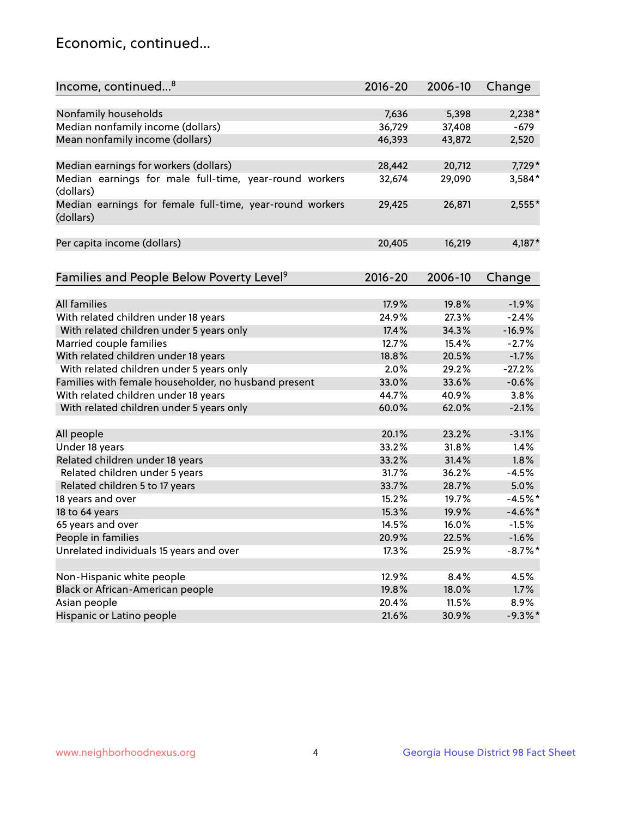## Economic, continued...

| Income, continued <sup>8</sup>                                        | $2016 - 20$ | 2006-10 | Change     |
|-----------------------------------------------------------------------|-------------|---------|------------|
|                                                                       |             |         |            |
| Nonfamily households                                                  | 7,636       | 5,398   | $2,238*$   |
| Median nonfamily income (dollars)                                     | 36,729      | 37,408  | -679       |
| Mean nonfamily income (dollars)                                       | 46,393      | 43,872  | 2,520      |
| Median earnings for workers (dollars)                                 | 28,442      | 20,712  | 7,729*     |
| Median earnings for male full-time, year-round workers                | 32,674      | 29,090  | 3,584*     |
| (dollars)                                                             |             |         |            |
| Median earnings for female full-time, year-round workers<br>(dollars) | 29,425      | 26,871  | 2,555*     |
| Per capita income (dollars)                                           | 20,405      | 16,219  | $4,187*$   |
|                                                                       |             |         |            |
| Families and People Below Poverty Level <sup>9</sup>                  | 2016-20     | 2006-10 | Change     |
|                                                                       |             |         |            |
| <b>All families</b>                                                   | 17.9%       | 19.8%   | $-1.9%$    |
| With related children under 18 years                                  | 24.9%       | 27.3%   | $-2.4%$    |
| With related children under 5 years only                              | 17.4%       | 34.3%   | $-16.9%$   |
| Married couple families                                               | 12.7%       | 15.4%   | $-2.7%$    |
| With related children under 18 years                                  | 18.8%       | 20.5%   | $-1.7%$    |
| With related children under 5 years only                              | 2.0%        | 29.2%   | $-27.2%$   |
| Families with female householder, no husband present                  | 33.0%       | 33.6%   | $-0.6%$    |
| With related children under 18 years                                  | 44.7%       | 40.9%   | 3.8%       |
| With related children under 5 years only                              | 60.0%       | 62.0%   | $-2.1%$    |
|                                                                       | 20.1%       | 23.2%   | $-3.1%$    |
| All people                                                            | 33.2%       | 31.8%   | 1.4%       |
| Under 18 years                                                        |             |         |            |
| Related children under 18 years                                       | 33.2%       | 31.4%   | 1.8%       |
| Related children under 5 years                                        | 31.7%       | 36.2%   | $-4.5%$    |
| Related children 5 to 17 years                                        | 33.7%       | 28.7%   | 5.0%       |
| 18 years and over                                                     | 15.2%       | 19.7%   | $-4.5%$ *  |
| 18 to 64 years                                                        | 15.3%       | 19.9%   | $-4.6\%$ * |
| 65 years and over                                                     | 14.5%       | 16.0%   | $-1.5%$    |
| People in families                                                    | 20.9%       | 22.5%   | $-1.6%$    |
| Unrelated individuals 15 years and over                               | 17.3%       | 25.9%   | $-8.7\%$ * |
| Non-Hispanic white people                                             | 12.9%       | 8.4%    | 4.5%       |
| Black or African-American people                                      | 19.8%       | 18.0%   | 1.7%       |
|                                                                       | 20.4%       |         | 8.9%       |
| Asian people                                                          |             | 11.5%   |            |
| Hispanic or Latino people                                             | 21.6%       | 30.9%   | $-9.3\%$ * |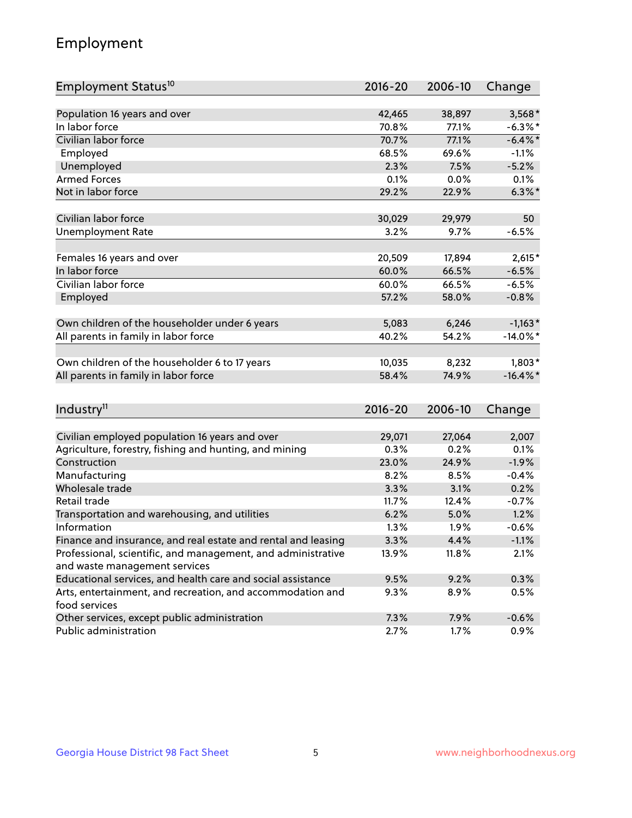## Employment

| Employment Status <sup>10</sup>                                             | $2016 - 20$ | 2006-10 | Change      |
|-----------------------------------------------------------------------------|-------------|---------|-------------|
|                                                                             |             |         |             |
| Population 16 years and over                                                | 42,465      | 38,897  | $3,568*$    |
| In labor force                                                              | 70.8%       | 77.1%   | $-6.3\%$ *  |
| Civilian labor force                                                        | 70.7%       | 77.1%   | $-6.4\%$ *  |
| Employed                                                                    | 68.5%       | 69.6%   | $-1.1%$     |
| Unemployed                                                                  | 2.3%        | 7.5%    | $-5.2%$     |
| <b>Armed Forces</b>                                                         | 0.1%        | 0.0%    | 0.1%        |
| Not in labor force                                                          | 29.2%       | 22.9%   | $6.3\%$ *   |
| Civilian labor force                                                        |             |         |             |
|                                                                             | 30,029      | 29,979  | 50          |
| <b>Unemployment Rate</b>                                                    | 3.2%        | 9.7%    | $-6.5%$     |
| Females 16 years and over                                                   | 20,509      | 17,894  | $2,615*$    |
| In labor force                                                              | 60.0%       | 66.5%   | $-6.5%$     |
| Civilian labor force                                                        | 60.0%       | 66.5%   | $-6.5%$     |
| Employed                                                                    | 57.2%       | 58.0%   | $-0.8%$     |
|                                                                             |             |         |             |
| Own children of the householder under 6 years                               | 5,083       | 6,246   | $-1,163*$   |
| All parents in family in labor force                                        | 40.2%       | 54.2%   | $-14.0\%$ * |
| Own children of the householder 6 to 17 years                               | 10,035      | 8,232   | $1,803*$    |
| All parents in family in labor force                                        | 58.4%       | 74.9%   | $-16.4\%$ * |
|                                                                             |             |         |             |
| Industry <sup>11</sup>                                                      | $2016 - 20$ | 2006-10 | Change      |
|                                                                             |             |         |             |
| Civilian employed population 16 years and over                              | 29,071      | 27,064  | 2,007       |
| Agriculture, forestry, fishing and hunting, and mining                      | 0.3%        | 0.2%    | 0.1%        |
| Construction                                                                | 23.0%       | 24.9%   | $-1.9%$     |
| Manufacturing                                                               | 8.2%        | 8.5%    | $-0.4%$     |
| Wholesale trade                                                             | 3.3%        | 3.1%    | 0.2%        |
| Retail trade                                                                | 11.7%       | 12.4%   | $-0.7%$     |
| Transportation and warehousing, and utilities                               | 6.2%        | 5.0%    | 1.2%        |
| Information                                                                 | 1.3%        | 1.9%    | $-0.6%$     |
| Finance and insurance, and real estate and rental and leasing               | 3.3%        | 4.4%    | $-1.1%$     |
| Professional, scientific, and management, and administrative                | 13.9%       | 11.8%   | 2.1%        |
| and waste management services                                               |             |         |             |
| Educational services, and health care and social assistance                 | 9.5%        | 9.2%    | 0.3%        |
| Arts, entertainment, and recreation, and accommodation and<br>food services | 9.3%        | 8.9%    | 0.5%        |
| Other services, except public administration                                | 7.3%        | 7.9%    | $-0.6%$     |
| Public administration                                                       | 2.7%        | 1.7%    | 0.9%        |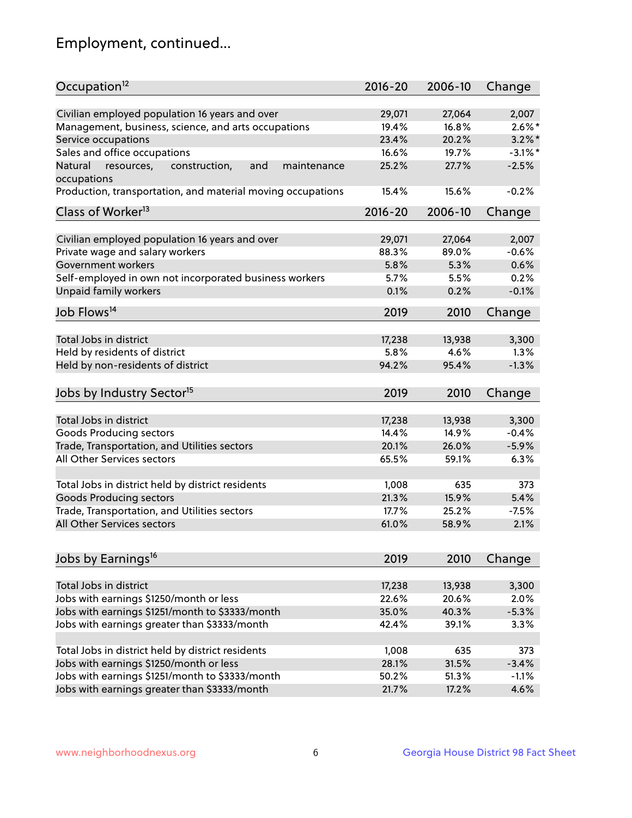## Employment, continued...

| Occupation <sup>12</sup>                                     | $2016 - 20$ | 2006-10 | Change     |
|--------------------------------------------------------------|-------------|---------|------------|
|                                                              |             |         |            |
| Civilian employed population 16 years and over               | 29,071      | 27,064  | 2,007      |
| Management, business, science, and arts occupations          | 19.4%       | 16.8%   | $2.6\%$ *  |
| Service occupations                                          | 23.4%       | 20.2%   | $3.2\%$ *  |
| Sales and office occupations                                 | 16.6%       | 19.7%   | $-3.1\%$ * |
| Natural<br>construction,<br>and<br>resources,<br>maintenance | 25.2%       | 27.7%   | $-2.5%$    |
| occupations                                                  |             |         |            |
| Production, transportation, and material moving occupations  | 15.4%       | 15.6%   | $-0.2%$    |
| Class of Worker <sup>13</sup>                                | $2016 - 20$ | 2006-10 | Change     |
|                                                              |             |         |            |
| Civilian employed population 16 years and over               | 29,071      | 27,064  | 2,007      |
| Private wage and salary workers                              | 88.3%       | 89.0%   | $-0.6%$    |
| Government workers                                           | 5.8%        | 5.3%    | 0.6%       |
| Self-employed in own not incorporated business workers       | 5.7%        | 5.5%    | 0.2%       |
| Unpaid family workers                                        | 0.1%        | 0.2%    | $-0.1%$    |
| Job Flows <sup>14</sup>                                      | 2019        | 2010    | Change     |
|                                                              |             |         |            |
| Total Jobs in district                                       | 17,238      | 13,938  | 3,300      |
| Held by residents of district                                | 5.8%        | 4.6%    | 1.3%       |
| Held by non-residents of district                            | 94.2%       | 95.4%   | $-1.3%$    |
| Jobs by Industry Sector <sup>15</sup>                        | 2019        | 2010    |            |
|                                                              |             |         | Change     |
| Total Jobs in district                                       | 17,238      | 13,938  | 3,300      |
| Goods Producing sectors                                      | 14.4%       | 14.9%   | $-0.4%$    |
| Trade, Transportation, and Utilities sectors                 | 20.1%       | 26.0%   | $-5.9%$    |
| All Other Services sectors                                   | 65.5%       | 59.1%   | 6.3%       |
|                                                              |             |         |            |
| Total Jobs in district held by district residents            | 1,008       | 635     | 373        |
| <b>Goods Producing sectors</b>                               | 21.3%       | 15.9%   | 5.4%       |
| Trade, Transportation, and Utilities sectors                 | 17.7%       | 25.2%   | $-7.5%$    |
| All Other Services sectors                                   | 61.0%       | 58.9%   | 2.1%       |
|                                                              |             |         |            |
| Jobs by Earnings <sup>16</sup>                               | 2019        | 2010    | Change     |
|                                                              |             |         |            |
| Total Jobs in district                                       | 17,238      | 13,938  | 3,300      |
| Jobs with earnings \$1250/month or less                      | 22.6%       | 20.6%   | 2.0%       |
| Jobs with earnings \$1251/month to \$3333/month              | 35.0%       | 40.3%   | $-5.3%$    |
| Jobs with earnings greater than \$3333/month                 | 42.4%       | 39.1%   | 3.3%       |
|                                                              |             |         |            |
| Total Jobs in district held by district residents            | 1,008       | 635     | 373        |
| Jobs with earnings \$1250/month or less                      | 28.1%       | 31.5%   | $-3.4%$    |
| Jobs with earnings \$1251/month to \$3333/month              | 50.2%       | 51.3%   | $-1.1%$    |
| Jobs with earnings greater than \$3333/month                 | 21.7%       | 17.2%   | 4.6%       |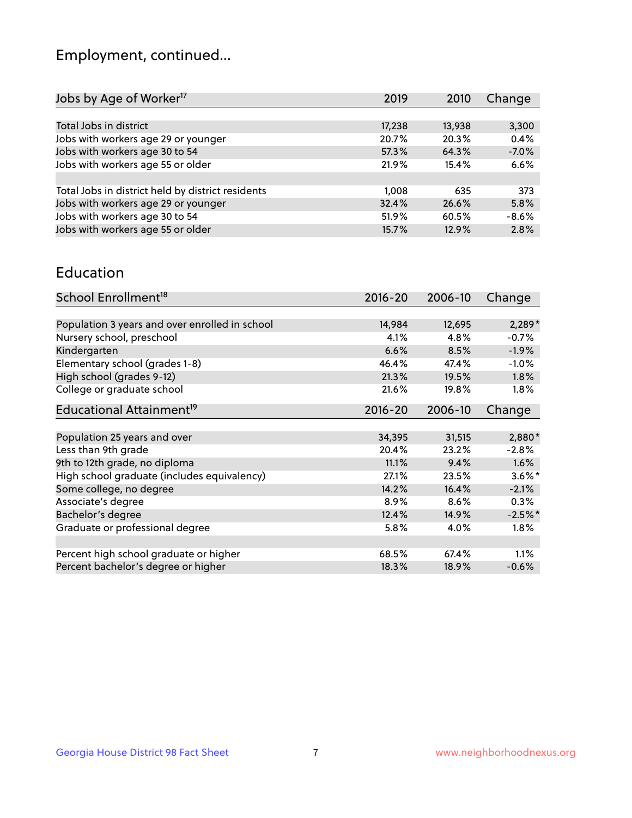## Employment, continued...

| 3,300   |
|---------|
| 0.4%    |
| $-7.0%$ |
| 6.6%    |
|         |
| 373     |
| 5.8%    |
| $-8.6%$ |
| 2.8%    |
|         |

#### Education

| School Enrollment <sup>18</sup>                | $2016 - 20$ | 2006-10 | Change    |
|------------------------------------------------|-------------|---------|-----------|
|                                                |             |         |           |
| Population 3 years and over enrolled in school | 14,984      | 12,695  | $2,289*$  |
| Nursery school, preschool                      | 4.1%        | 4.8%    | $-0.7%$   |
| Kindergarten                                   | 6.6%        | 8.5%    | $-1.9%$   |
| Elementary school (grades 1-8)                 | 46.4%       | 47.4%   | $-1.0%$   |
| High school (grades 9-12)                      | 21.3%       | 19.5%   | 1.8%      |
| College or graduate school                     | 21.6%       | 19.8%   | $1.8\%$   |
| Educational Attainment <sup>19</sup>           | $2016 - 20$ | 2006-10 | Change    |
|                                                |             |         |           |
| Population 25 years and over                   | 34,395      | 31,515  | 2,880*    |
| Less than 9th grade                            | 20.4%       | 23.2%   | $-2.8%$   |
| 9th to 12th grade, no diploma                  | 11.1%       | 9.4%    | 1.6%      |
| High school graduate (includes equivalency)    | 27.1%       | 23.5%   | $3.6\%$ * |
| Some college, no degree                        | 14.2%       | 16.4%   | $-2.1%$   |
| Associate's degree                             | 8.9%        | 8.6%    | 0.3%      |
| Bachelor's degree                              | 12.4%       | 14.9%   | $-2.5%$ * |
| Graduate or professional degree                | 5.8%        | 4.0%    | $1.8\%$   |
|                                                |             |         |           |
| Percent high school graduate or higher         | 68.5%       | 67.4%   | 1.1%      |
| Percent bachelor's degree or higher            | 18.3%       | 18.9%   | $-0.6%$   |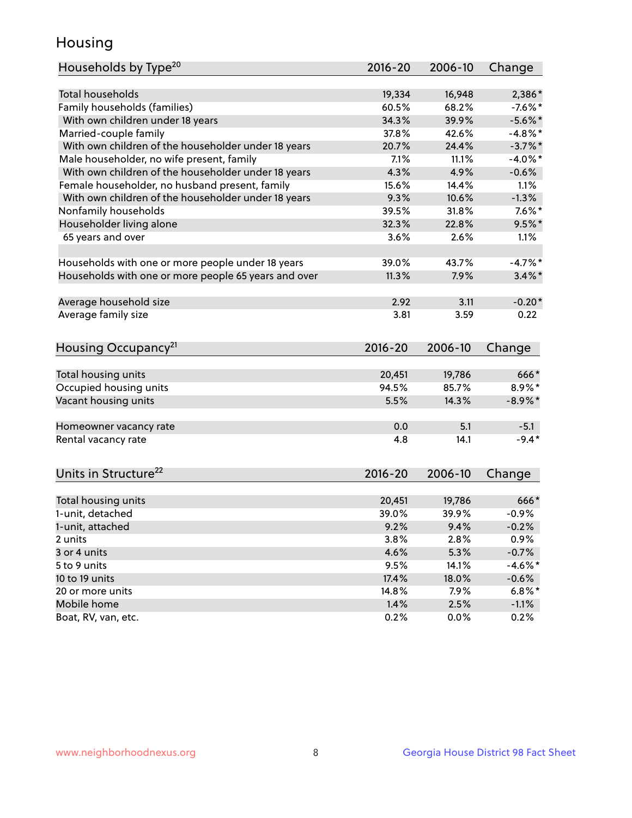## Housing

| Households by Type <sup>20</sup>                     | 2016-20     | 2006-10 | Change     |
|------------------------------------------------------|-------------|---------|------------|
|                                                      |             |         |            |
| <b>Total households</b>                              | 19,334      | 16,948  | 2,386*     |
| Family households (families)                         | 60.5%       | 68.2%   | $-7.6\%$ * |
| With own children under 18 years                     | 34.3%       | 39.9%   | $-5.6\%$ * |
| Married-couple family                                | 37.8%       | 42.6%   | $-4.8\%$ * |
| With own children of the householder under 18 years  | 20.7%       | 24.4%   | $-3.7\%$ * |
| Male householder, no wife present, family            | 7.1%        | 11.1%   | $-4.0\%$ * |
| With own children of the householder under 18 years  | 4.3%        | 4.9%    | $-0.6%$    |
| Female householder, no husband present, family       | 15.6%       | 14.4%   | $1.1\%$    |
| With own children of the householder under 18 years  | 9.3%        | 10.6%   | $-1.3%$    |
| Nonfamily households                                 | 39.5%       | 31.8%   | $7.6\%$ *  |
| Householder living alone                             | 32.3%       | 22.8%   | $9.5%$ *   |
| 65 years and over                                    | 3.6%        | 2.6%    | 1.1%       |
|                                                      |             |         |            |
| Households with one or more people under 18 years    | 39.0%       | 43.7%   | $-4.7%$ *  |
| Households with one or more people 65 years and over | 11.3%       | 7.9%    | $3.4\%$ *  |
|                                                      |             |         |            |
| Average household size                               | 2.92        | 3.11    | $-0.20*$   |
| Average family size                                  | 3.81        | 3.59    | 0.22       |
|                                                      |             |         |            |
| Housing Occupancy <sup>21</sup>                      | $2016 - 20$ | 2006-10 | Change     |
|                                                      |             |         |            |
| Total housing units                                  | 20,451      | 19,786  | 666*       |
| Occupied housing units                               | 94.5%       | 85.7%   | $8.9\%*$   |
| Vacant housing units                                 | 5.5%        | 14.3%   | $-8.9\%*$  |
|                                                      |             |         |            |
| Homeowner vacancy rate                               | 0.0         | 5.1     | $-5.1$     |
| Rental vacancy rate                                  | 4.8         | 14.1    | $-9.4*$    |
|                                                      |             |         |            |
| Units in Structure <sup>22</sup>                     | $2016 - 20$ | 2006-10 | Change     |
|                                                      |             |         |            |
| Total housing units                                  | 20,451      | 19,786  | 666*       |
| 1-unit, detached                                     | 39.0%       | 39.9%   | $-0.9%$    |
| 1-unit, attached                                     | 9.2%        | 9.4%    | $-0.2%$    |
| 2 units                                              | 3.8%        | 2.8%    | 0.9%       |
| 3 or 4 units                                         | 4.6%        | 5.3%    | $-0.7%$    |
| 5 to 9 units                                         | 9.5%        | 14.1%   | $-4.6\%$ * |
| 10 to 19 units                                       | 17.4%       | 18.0%   | $-0.6%$    |
| 20 or more units                                     | 14.8%       | 7.9%    | $6.8\%$ *  |
| Mobile home                                          | 1.4%        | 2.5%    | $-1.1%$    |
|                                                      |             |         |            |
| Boat, RV, van, etc.                                  | 0.2%        | 0.0%    | 0.2%       |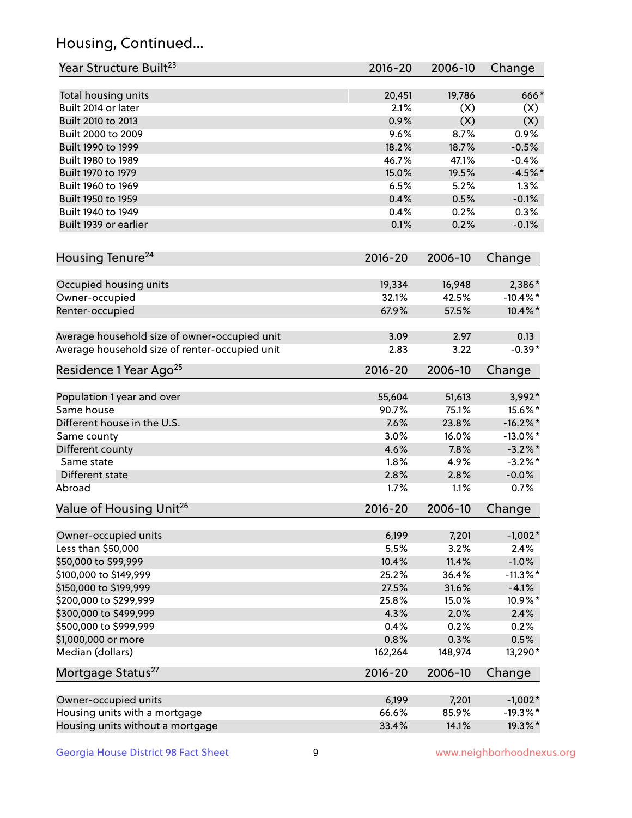## Housing, Continued...

| Year Structure Built <sup>23</sup>             | 2016-20     | 2006-10 | Change      |
|------------------------------------------------|-------------|---------|-------------|
| Total housing units                            | 20,451      | 19,786  | 666*        |
| Built 2014 or later                            | 2.1%        | (X)     | (X)         |
| Built 2010 to 2013                             | 0.9%        | (X)     | (X)         |
| Built 2000 to 2009                             | 9.6%        | 8.7%    | 0.9%        |
| Built 1990 to 1999                             | 18.2%       | 18.7%   | $-0.5%$     |
| Built 1980 to 1989                             | 46.7%       | 47.1%   | $-0.4%$     |
| Built 1970 to 1979                             | 15.0%       | 19.5%   | $-4.5%$ *   |
| Built 1960 to 1969                             | 6.5%        | 5.2%    | 1.3%        |
| Built 1950 to 1959                             | 0.4%        | 0.5%    | $-0.1%$     |
| Built 1940 to 1949                             | 0.4%        | 0.2%    | 0.3%        |
| Built 1939 or earlier                          | 0.1%        | 0.2%    | $-0.1%$     |
| Housing Tenure <sup>24</sup>                   | $2016 - 20$ | 2006-10 | Change      |
|                                                |             |         |             |
| Occupied housing units                         | 19,334      | 16,948  | 2,386*      |
| Owner-occupied                                 | 32.1%       | 42.5%   | $-10.4\%$ * |
| Renter-occupied                                | 67.9%       | 57.5%   | 10.4%*      |
| Average household size of owner-occupied unit  | 3.09        | 2.97    | 0.13        |
| Average household size of renter-occupied unit | 2.83        | 3.22    | $-0.39*$    |
| Residence 1 Year Ago <sup>25</sup>             | $2016 - 20$ | 2006-10 | Change      |
| Population 1 year and over                     | 55,604      | 51,613  | 3,992*      |
| Same house                                     | 90.7%       | 75.1%   | 15.6%*      |
| Different house in the U.S.                    | 7.6%        | 23.8%   | $-16.2\%$ * |
| Same county                                    | 3.0%        | 16.0%   | $-13.0\%$ * |
| Different county                               | 4.6%        | 7.8%    | $-3.2\%$ *  |
| Same state                                     | 1.8%        | 4.9%    | $-3.2\%$ *  |
| Different state                                | 2.8%        | 2.8%    | $-0.0%$     |
| Abroad                                         | 1.7%        | 1.1%    | 0.7%        |
| Value of Housing Unit <sup>26</sup>            | 2016-20     | 2006-10 | Change      |
| Owner-occupied units                           | 6,199       | 7,201   | $-1,002*$   |
| Less than \$50,000                             | 5.5%        | 3.2%    | 2.4%        |
| \$50,000 to \$99,999                           | 10.4%       | 11.4%   | $-1.0%$     |
| \$100,000 to \$149,999                         | 25.2%       | 36.4%   | $-11.3\%$ * |
| \$150,000 to \$199,999                         | 27.5%       | 31.6%   | $-4.1%$     |
| \$200,000 to \$299,999                         | 25.8%       | 15.0%   | 10.9%*      |
| \$300,000 to \$499,999                         | 4.3%        | 2.0%    | 2.4%        |
| \$500,000 to \$999,999                         | 0.4%        | 0.2%    | 0.2%        |
| \$1,000,000 or more                            | 0.8%        | 0.3%    | 0.5%        |
| Median (dollars)                               | 162,264     | 148,974 | 13,290*     |
| Mortgage Status <sup>27</sup>                  | $2016 - 20$ | 2006-10 | Change      |
|                                                |             |         |             |
| Owner-occupied units                           | 6,199       | 7,201   | $-1,002*$   |
| Housing units with a mortgage                  | 66.6%       | 85.9%   | $-19.3%$ *  |
| Housing units without a mortgage               | 33.4%       | 14.1%   | 19.3%*      |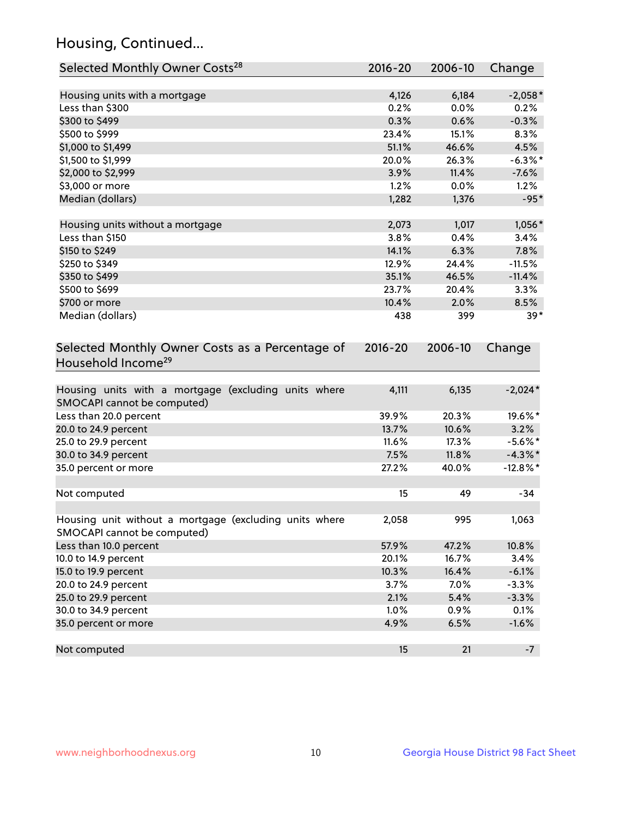## Housing, Continued...

| Selected Monthly Owner Costs <sup>28</sup>                                            | 2016-20 | 2006-10 | Change      |
|---------------------------------------------------------------------------------------|---------|---------|-------------|
| Housing units with a mortgage                                                         | 4,126   | 6,184   | $-2,058*$   |
| Less than \$300                                                                       | 0.2%    | 0.0%    | 0.2%        |
| \$300 to \$499                                                                        | 0.3%    | 0.6%    | $-0.3%$     |
| \$500 to \$999                                                                        | 23.4%   | 15.1%   | 8.3%        |
| \$1,000 to \$1,499                                                                    | 51.1%   | 46.6%   | 4.5%        |
| \$1,500 to \$1,999                                                                    | 20.0%   | 26.3%   | $-6.3\%$ *  |
| \$2,000 to \$2,999                                                                    | 3.9%    | 11.4%   | $-7.6%$     |
| \$3,000 or more                                                                       | 1.2%    | 0.0%    | 1.2%        |
| Median (dollars)                                                                      | 1,282   | 1,376   | $-95*$      |
| Housing units without a mortgage                                                      | 2,073   | 1,017   | 1,056*      |
| Less than \$150                                                                       | 3.8%    | 0.4%    | 3.4%        |
| \$150 to \$249                                                                        | 14.1%   | 6.3%    | 7.8%        |
| \$250 to \$349                                                                        | 12.9%   | 24.4%   | $-11.5%$    |
| \$350 to \$499                                                                        | 35.1%   | 46.5%   | $-11.4%$    |
| \$500 to \$699                                                                        | 23.7%   | 20.4%   | 3.3%        |
| \$700 or more                                                                         | 10.4%   | 2.0%    | 8.5%        |
| Median (dollars)                                                                      | 438     | 399     | $39*$       |
| Selected Monthly Owner Costs as a Percentage of<br>Household Income <sup>29</sup>     |         |         | Change      |
| Housing units with a mortgage (excluding units where<br>SMOCAPI cannot be computed)   | 4,111   | 6,135   | $-2,024*$   |
| Less than 20.0 percent                                                                | 39.9%   | 20.3%   | 19.6%*      |
| 20.0 to 24.9 percent                                                                  | 13.7%   | 10.6%   | 3.2%        |
| 25.0 to 29.9 percent                                                                  | 11.6%   | 17.3%   | $-5.6\%$ *  |
| 30.0 to 34.9 percent                                                                  | 7.5%    | 11.8%   | $-4.3\%$ *  |
| 35.0 percent or more                                                                  | 27.2%   | 40.0%   | $-12.8\%$ * |
| Not computed                                                                          | 15      | 49      | $-34$       |
| Housing unit without a mortgage (excluding units where<br>SMOCAPI cannot be computed) | 2,058   | 995     | 1,063       |
| Less than 10.0 percent                                                                | 57.9%   | 47.2%   | 10.8%       |
| 10.0 to 14.9 percent                                                                  | 20.1%   | 16.7%   | 3.4%        |
| 15.0 to 19.9 percent                                                                  | 10.3%   | 16.4%   | $-6.1%$     |
| 20.0 to 24.9 percent                                                                  | 3.7%    | 7.0%    | $-3.3%$     |
| 25.0 to 29.9 percent                                                                  | 2.1%    | 5.4%    | $-3.3%$     |
| 30.0 to 34.9 percent                                                                  | 1.0%    | $0.9\%$ | 0.1%        |
| 35.0 percent or more                                                                  | 4.9%    | 6.5%    | $-1.6%$     |
| Not computed                                                                          | 15      | 21      | $-7$        |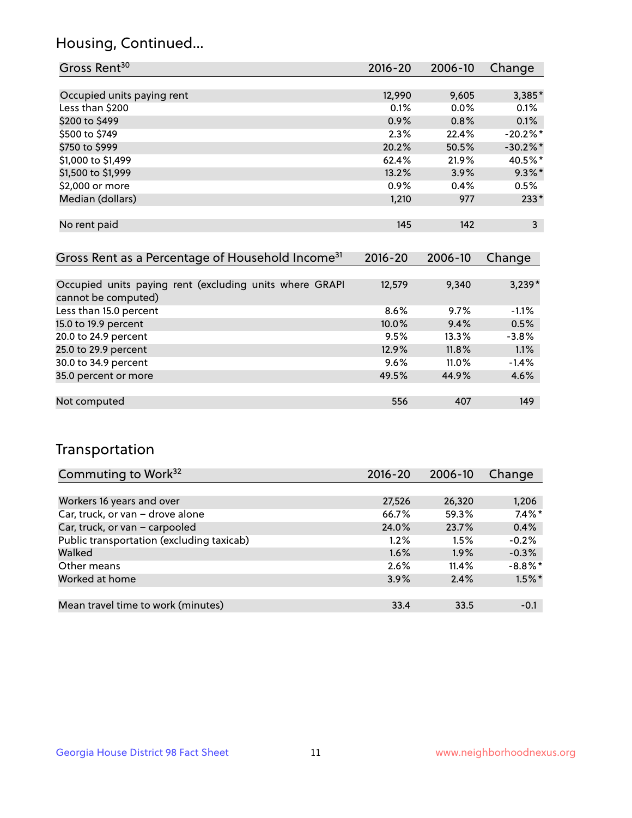## Housing, Continued...

| Gross Rent <sup>30</sup>   | $2016 - 20$ | 2006-10 | Change                 |
|----------------------------|-------------|---------|------------------------|
|                            |             |         |                        |
| Occupied units paying rent | 12,990      | 9,605   | 3,385*                 |
| Less than \$200            | 0.1%        | $0.0\%$ | 0.1%                   |
| \$200 to \$499             | 0.9%        | 0.8%    | 0.1%                   |
| \$500 to \$749             | 2.3%        | 22.4%   | $-20.2\%$ <sup>*</sup> |
| \$750 to \$999             | 20.2%       | 50.5%   | $-30.2%$ *             |
| \$1,000 to \$1,499         | 62.4%       | 21.9%   | 40.5%*                 |
| \$1,500 to \$1,999         | 13.2%       | 3.9%    | $9.3\%$ *              |
| \$2,000 or more            | 0.9%        | 0.4%    | 0.5%                   |
| Median (dollars)           | 1,210       | 977     | $233*$                 |
|                            |             |         |                        |
| No rent paid               | 145         | 142     | 3                      |

| Gross Rent as a Percentage of Household Income <sup>31</sup>                   | $2016 - 20$ | 2006-10  | Change   |
|--------------------------------------------------------------------------------|-------------|----------|----------|
|                                                                                |             |          |          |
| Occupied units paying rent (excluding units where GRAPI<br>cannot be computed) | 12,579      | 9,340    | $3,239*$ |
| Less than 15.0 percent                                                         | 8.6%        | 9.7%     | $-1.1%$  |
| 15.0 to 19.9 percent                                                           | 10.0%       | 9.4%     | 0.5%     |
| 20.0 to 24.9 percent                                                           | 9.5%        | 13.3%    | $-3.8%$  |
| 25.0 to 29.9 percent                                                           | 12.9%       | 11.8%    | 1.1%     |
| 30.0 to 34.9 percent                                                           | 9.6%        | $11.0\%$ | $-1.4%$  |
| 35.0 percent or more                                                           | 49.5%       | 44.9%    | 4.6%     |
|                                                                                |             |          |          |
| Not computed                                                                   | 556         | 407      | 149      |

## Transportation

| Commuting to Work <sup>32</sup>           | 2016-20 | 2006-10 | Change     |
|-------------------------------------------|---------|---------|------------|
|                                           |         |         |            |
| Workers 16 years and over                 | 27,526  | 26,320  | 1,206      |
| Car, truck, or van - drove alone          | 66.7%   | 59.3%   | $7.4\%$ *  |
| Car, truck, or van - carpooled            | 24.0%   | 23.7%   | 0.4%       |
| Public transportation (excluding taxicab) | $1.2\%$ | 1.5%    | $-0.2%$    |
| Walked                                    | 1.6%    | 1.9%    | $-0.3%$    |
| Other means                               | 2.6%    | 11.4%   | $-8.8\%$ * |
| Worked at home                            | 3.9%    | 2.4%    | $1.5\%$ *  |
|                                           |         |         |            |
| Mean travel time to work (minutes)        | 33.4    | 33.5    | $-0.1$     |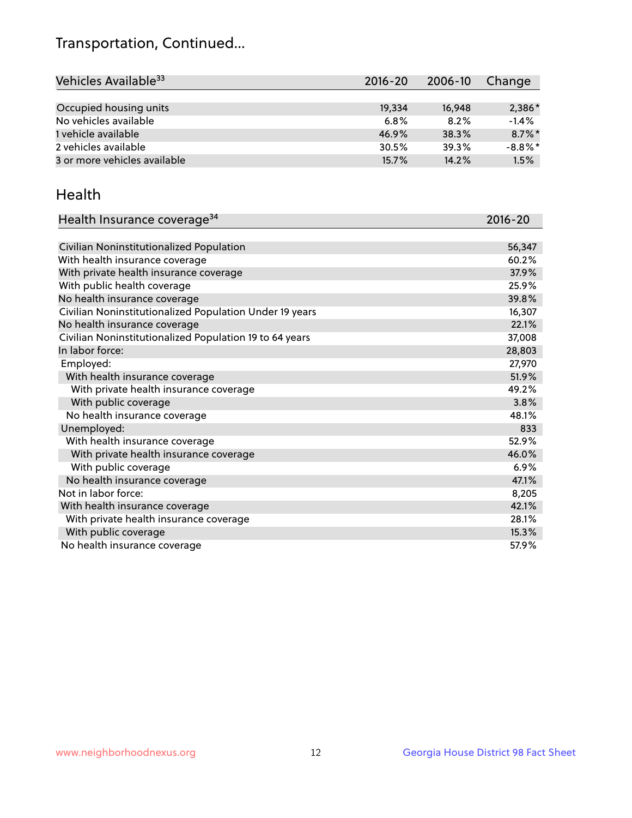## Transportation, Continued...

| Vehicles Available <sup>33</sup> | $2016 - 20$ | 2006-10 | Change     |
|----------------------------------|-------------|---------|------------|
|                                  |             |         |            |
| Occupied housing units           | 19,334      | 16,948  | $2,386*$   |
| No vehicles available            | 6.8%        | 8.2%    | $-1.4%$    |
| 1 vehicle available              | 46.9%       | 38.3%   | $8.7\%$ *  |
| 2 vehicles available             | 30.5%       | 39.3%   | $-8.8\%$ * |
| 3 or more vehicles available     | 15.7%       | 14.2%   | 1.5%       |

#### Health

| Health Insurance coverage <sup>34</sup>                 | 2016-20 |
|---------------------------------------------------------|---------|
|                                                         |         |
| Civilian Noninstitutionalized Population                | 56,347  |
| With health insurance coverage                          | 60.2%   |
| With private health insurance coverage                  | 37.9%   |
| With public health coverage                             | 25.9%   |
| No health insurance coverage                            | 39.8%   |
| Civilian Noninstitutionalized Population Under 19 years | 16,307  |
| No health insurance coverage                            | 22.1%   |
| Civilian Noninstitutionalized Population 19 to 64 years | 37,008  |
| In labor force:                                         | 28,803  |
| Employed:                                               | 27,970  |
| With health insurance coverage                          | 51.9%   |
| With private health insurance coverage                  | 49.2%   |
| With public coverage                                    | 3.8%    |
| No health insurance coverage                            | 48.1%   |
| Unemployed:                                             | 833     |
| With health insurance coverage                          | 52.9%   |
| With private health insurance coverage                  | 46.0%   |
| With public coverage                                    | 6.9%    |
| No health insurance coverage                            | 47.1%   |
| Not in labor force:                                     | 8,205   |
| With health insurance coverage                          | 42.1%   |
| With private health insurance coverage                  | 28.1%   |
| With public coverage                                    | 15.3%   |
| No health insurance coverage                            | 57.9%   |